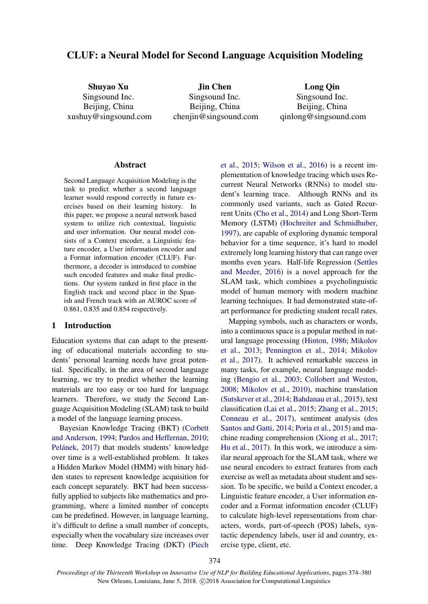# CLUF: a Neural Model for Second Language Acquisition Modeling

Shuyao Xu Singsound Inc. Beijing, China xushuy@singsound.com

Jin Chen Singsound Inc. Beijing, China chenjin@singsound.com

Long Qin Singsound Inc. Beijing, China qinlong@singsound.com

#### Abstract

Second Language Acquisition Modeling is the task to predict whether a second language learner would respond correctly in future exercises based on their learning history. In this paper, we propose a neural network based system to utilize rich contextual, linguistic and user information. Our neural model consists of a Context encoder, a Linguistic feature encoder, a User information encoder and a Format information encoder (CLUF). Furthermore, a decoder is introduced to combine such encoded features and make final predictions. Our system ranked in first place in the English track and second place in the Spanish and French track with an AUROC score of 0.861, 0.835 and 0.854 respectively.

#### 1 Introduction

Education systems that can adapt to the presenting of educational materials according to students' personal learning needs have great potential. Specifically, in the area of second language learning, we try to predict whether the learning materials are too easy or too hard for language learners. Therefore, we study the Second Language Acquisition Modeling (SLAM) task to build a model of the language learning process.

Bayesian Knowledge Tracing (BKT) (Corbett and Anderson, 1994; Pardos and Heffernan, 2010; Pelánek, 2017) that models students' knowledge over time is a well-established problem. It takes a Hidden Markov Model (HMM) with binary hidden states to represent knowledge acquisition for each concept separately. BKT had been successfully applied to subjects like mathematics and programming, where a limited number of concepts can be predefined. However, in language learning, it's difficult to define a small number of concepts, especially when the vocabulary size increases over time. Deep Knowledge Tracing (DKT) (Piech et al., 2015; Wilson et al., 2016) is a recent implementation of knowledge tracing which uses Recurrent Neural Networks (RNNs) to model student's learning trace. Although RNNs and its commonly used variants, such as Gated Recurrent Units (Cho et al., 2014) and Long Short-Term Memory (LSTM) (Hochreiter and Schmidhuber, 1997), are capable of exploring dynamic temporal behavior for a time sequence, it's hard to model extremely long learning history that can range over months even years. Half-life Regression (Settles and Meeder, 2016) is a novel approach for the SLAM task, which combines a psycholinguistic model of human memory with modern machine learning techniques. It had demonstrated state-ofart performance for predicting student recall rates.

Mapping symbols, such as characters or words, into a continuous space is a popular method in natural language processing (Hinton, 1986; Mikolov et al., 2013; Pennington et al., 2014; Mikolov et al., 2017). It achieved remarkable success in many tasks, for example, neural language modeling (Bengio et al., 2003; Collobert and Weston, 2008; Mikolov et al., 2010), machine translation (Sutskever et al., 2014; Bahdanau et al., 2015), text classification (Lai et al., 2015; Zhang et al., 2015; Conneau et al., 2017), sentiment analysis (dos Santos and Gatti, 2014; Poria et al., 2015) and machine reading comprehension (Xiong et al., 2017; Hu et al., 2017). In this work, we introduce a similar neural approach for the SLAM task, where we use neural encoders to extract features from each exercise as well as metadata about student and session. To be specific, we build a Context encoder, a Linguistic feature encoder, a User information encoder and a Format information encoder (CLUF) to calculate high-level representations from characters, words, part-of-speech (POS) labels, syntactic dependency labels, user id and country, exercise type, client, etc.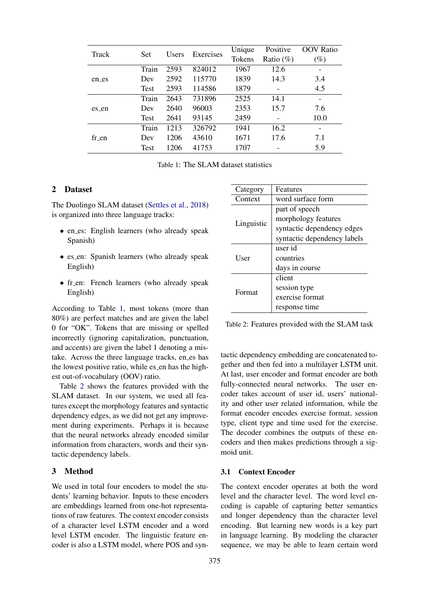| Track | Set         | Users | Exercises | Unique        | Positive                 | <b>OOV</b> Ratio |
|-------|-------------|-------|-----------|---------------|--------------------------|------------------|
|       |             |       |           | <b>Tokens</b> | Ratio $(\%)$             | $(\%)$           |
| en_es | Train       | 2593  | 824012    | 1967          | 12.6                     |                  |
|       | Dev         | 2592  | 115770    | 1839          | 14.3                     | 3.4              |
|       | Test        | 2593  | 114586    | 1879          | $\overline{\phantom{a}}$ | 4.5              |
| es_en | Train       | 2643  | 731896    | 2525          | 14.1                     |                  |
|       | Dev         | 2640  | 96003     | 2353          | 15.7                     | 7.6              |
|       | <b>Test</b> | 2641  | 93145     | 2459          |                          | 10.0             |
| fr en | Train       | 1213  | 326792    | 1941          | 16.2                     |                  |
|       | Dev         | 1206  | 43610     | 1671          | 17.6                     | 7.1              |
|       | Test        | 1206  | 41753     | 1707          |                          | 5.9              |

Table 1: The SLAM dataset statistics

# 2 Dataset

The Duolingo SLAM dataset (Settles et al., 2018) is organized into three language tracks:

- en\_es: English learners (who already speak Spanish)
- es\_en: Spanish learners (who already speak English)
- fr\_en: French learners (who already speak English)

According to Table 1, most tokens (more than 80%) are perfect matches and are given the label 0 for "OK". Tokens that are missing or spelled incorrectly (ignoring capitalization, punctuation, and accents) are given the label 1 denoting a mistake. Across the three language tracks, en\_es has the lowest positive ratio, while es en has the highest out-of-vocabulary (OOV) ratio.

Table 2 shows the features provided with the SLAM dataset. In our system, we used all features except the morphology features and syntactic dependency edges, as we did not get any improvement during experiments. Perhaps it is because that the neural networks already encoded similar information from characters, words and their syntactic dependency labels.

### 3 Method

We used in total four encoders to model the students' learning behavior. Inputs to these encoders are embeddings learned from one-hot representations of raw features. The context encoder consists of a character level LSTM encoder and a word level LSTM encoder. The linguistic feature encoder is also a LSTM model, where POS and syn-

| Category    | Features                    |  |  |
|-------------|-----------------------------|--|--|
| Context     | word surface form           |  |  |
|             | part of speech              |  |  |
|             | morphology features         |  |  |
| Linguistic  | syntactic dependency edges  |  |  |
|             | syntactic dependency labels |  |  |
|             | user id                     |  |  |
| <b>User</b> | countries                   |  |  |
|             | days in course              |  |  |
|             | client                      |  |  |
| Format      | session type                |  |  |
|             | exercise format             |  |  |
|             | response time               |  |  |

Table 2: Features provided with the SLAM task

tactic dependency embedding are concatenated together and then fed into a multilayer LSTM unit. At last, user encoder and format encoder are both fully-connected neural networks. The user encoder takes account of user id, users' nationality and other user related information, while the format encoder encodes exercise format, session type, client type and time used for the exercise. The decoder combines the outputs of these encoders and then makes predictions through a sigmoid unit.

#### 3.1 Context Encoder

The context encoder operates at both the word level and the character level. The word level encoding is capable of capturing better semantics and longer dependency than the character level encoding. But learning new words is a key part in language learning. By modeling the character sequence, we may be able to learn certain word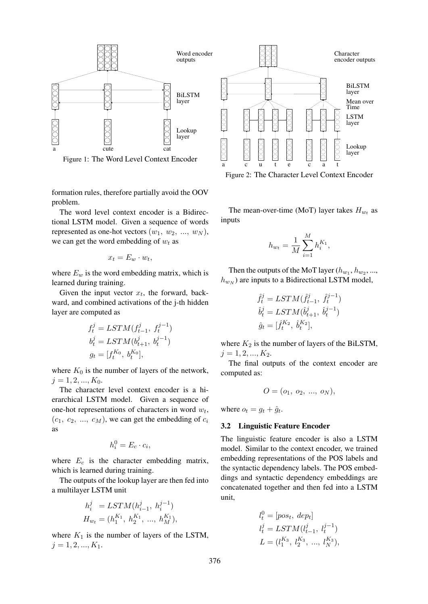

Figure 1: The Word Level Context Encoder

formation rules, therefore partially avoid the OOV problem.

The word level context encoder is a Bidirectional LSTM model. Given a sequence of words represented as one-hot vectors  $(w_1, w_2, ..., w_N)$ , we can get the word embedding of  $w_t$  as

$$
x_t = E_w \cdot w_t,
$$

where  $E_w$  is the word embedding matrix, which is learned during training.

Given the input vector  $x_t$ , the forward, backward, and combined activations of the j-th hidden layer are computed as

$$
f_t^j = LSTM(f_{t-1}^j, f_t^{j-1})
$$
  
\n
$$
b_t^j = LSTM(b_{t+1}^j, b_t^{j-1})
$$
  
\n
$$
g_t = [f_t^{K_0}, b_t^{K_0}],
$$

where  $K_0$  is the number of layers of the network,  $j = 1, 2, ..., K_0$ .

The character level context encoder is a hierarchical LSTM model. Given a sequence of one-hot representations of characters in word  $w_t$ ,  $(c_1, c_2, ..., c_M)$ , we can get the embedding of  $c_i$ as

$$
h_i^0 = E_c \cdot c_i,
$$

where  $E_c$  is the character embedding matrix, which is learned during training.

The outputs of the lookup layer are then fed into a multilayer LSTM unit

$$
h_i^j = LSTM(h_{i-1}^j, h_i^{j-1})
$$
  

$$
H_{w_t} = (h_1^{K_1}, h_2^{K_1}, ..., h_M^{K_1}),
$$

where  $K_1$  is the number of layers of the LSTM,  $j = 1, 2, ..., K_1.$ 



Figure 2: The Character Level Context Encoder

The mean-over-time (MoT) layer takes  $H_{w_t}$  as inputs

$$
h_{w_t} = \frac{1}{M} \sum_{i=1}^{M} h_i^{K_1},
$$

Then the outputs of the MoT layer  $(h_{w_1}, h_{w_2}, ...,$  $h_{w_N}$ ) are inputs to a Bidirectional LSTM model,

$$
\begin{aligned} \hat{f}_t^j &= LSTM(\hat{f}_{t-1}^j, \ \hat{f}_t^{j-1}) \\ \hat{b}_t^j &= LSTM(\hat{b}_{t+1}^j, \ \hat{b}_t^{j-1}) \\ \hat{g}_t &= [\hat{f}_t^{K_2}, \ \hat{b}_t^{K_2}], \end{aligned}
$$

where  $K_2$  is the number of layers of the BiLSTM,  $j = 1, 2, ..., K_2$ .

The final outputs of the context encoder are computed as:

$$
O = (o_1, o_2, ..., o_N),
$$

where  $o_t = g_t + \hat{g}_t$ .

#### 3.2 Linguistic Feature Encoder

The linguistic feature encoder is also a LSTM model. Similar to the context encoder, we trained embedding representations of the POS labels and the syntactic dependency labels. The POS embeddings and syntactic dependency embeddings are concatenated together and then fed into a LSTM unit,

$$
l_t^0 = [pos_t, \text{ } dep_t]
$$
  
\n
$$
l_t^j = LSTM(l_{t-1}^j, \text{ } l_t^{j-1})
$$
  
\n
$$
L = (l_1^{K_3}, \text{ } l_2^{K_3}, \text{ } \dots, \text{ } l_N^{K_3}),
$$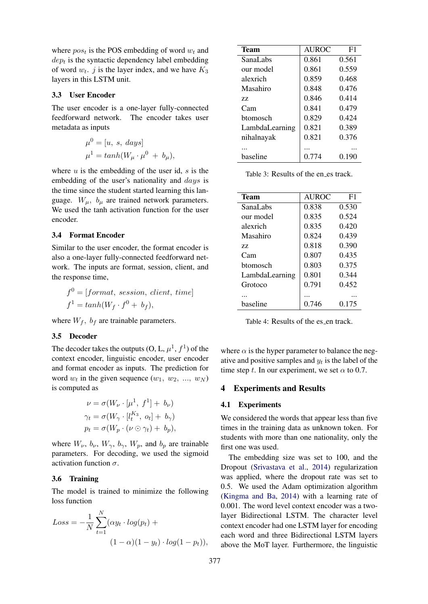where  $pos_t$  is the POS embedding of word  $w_t$  and  $dep<sub>t</sub>$  is the syntactic dependency label embedding of word  $w_t$ . *j* is the layer index, and we have  $K_3$ layers in this LSTM unit.

### 3.3 User Encoder

The user encoder is a one-layer fully-connected feedforward network. The encoder takes user metadata as inputs

$$
\mu^0 = [u, s, days] \n\mu^1 = tanh(W_\mu \cdot \mu^0 + b_\mu),
$$

where  $u$  is the embedding of the user id,  $s$  is the embedding of the user's nationality and *days* is the time since the student started learning this language.  $W_{\mu}$ ,  $b_{\mu}$  are trained network parameters. We used the tanh activation function for the user encoder.

#### 3.4 Format Encoder

Similar to the user encoder, the format encoder is also a one-layer fully-connected feedforward network. The inputs are format, session, client, and the response time,

$$
f^{0} = [format, session, client, time]
$$
  

$$
f^{1} = tanh(W_f \cdot f^{0} + b_f),
$$

where  $W_f$ ,  $b_f$  are trainable parameters.

#### 3.5 Decoder

The decoder takes the outputs  $(0, L, \mu^1, f^1)$  of the context encoder, linguistic encoder, user encoder and format encoder as inputs. The prediction for word  $w_t$  in the given sequence  $(w_1, w_2, ..., w_N)$ is computed as

$$
\nu = \sigma(W_{\nu} \cdot [\mu^1, f^1] + b_{\nu})
$$
  
\n
$$
\gamma_t = \sigma(W_{\gamma} \cdot [l_t^{K_3}, o_t] + b_{\gamma})
$$
  
\n
$$
p_t = \sigma(W_p \cdot (\nu \odot \gamma_t) + b_p),
$$

where  $W_{\nu}$ ,  $b_{\nu}$ ,  $W_{\gamma}$ ,  $b_{\gamma}$ ,  $W_{p}$ , and  $b_{p}$  are trainable parameters. For decoding, we used the sigmoid activation function  $\sigma$ .

#### 3.6 Training

The model is trained to minimize the following loss function

$$
Loss = -\frac{1}{N} \sum_{t=1}^{N} (\alpha y_t \cdot log(p_t) + (1 - \alpha)(1 - y_t) \cdot log(1 - p_t)),
$$

| Team           | <b>AUROC</b> | F1    |
|----------------|--------------|-------|
| SanaLabs       | 0.861        | 0.561 |
| our model      | 0.861        | 0.559 |
| alexrich       | 0.859        | 0.468 |
| Masahiro       | 0.848        | 0 476 |
| 77.            | 0.846        | 0.414 |
| Cam            | 0.841        | 0.479 |
| btomosch       | 0.829        | 0.424 |
| LambdaLearning | 0.821        | 0.389 |
| nihalnayak     | 0.821        | 0.376 |
|                | .            |       |
| baseline       | 0.774        | 0.190 |

Table 3: Results of the en es track.

| <b>Team</b>    | <b>AUROC</b> | F1    |
|----------------|--------------|-------|
| SanaLabs       | 0.838        | 0.530 |
| our model      | 0.835        | 0.524 |
| alexrich       | 0.835        | 0.420 |
| Masahiro       | 0.824        | 0.439 |
| 77.            | 0.818        | 0.390 |
| Cam            | 0.807        | 0.435 |
| htomosch       | 0.803        | 0.375 |
| LambdaLearning | 0.801        | 0.344 |
| Grotoco        | 0.791        | 0.452 |
|                |              |       |
| baseline       | 0 746        | 0.175 |

Table 4: Results of the es\_en track.

where  $\alpha$  is the hyper parameter to balance the negative and positive samples and  $y_t$  is the label of the time step t. In our experiment, we set  $\alpha$  to 0.7.

#### 4 Experiments and Results

#### 4.1 Experiments

We considered the words that appear less than five times in the training data as unknown token. For students with more than one nationality, only the first one was used.

The embedding size was set to 100, and the Dropout (Srivastava et al., 2014) regularization was applied, where the dropout rate was set to 0.5. We used the Adam optimization algorithm (Kingma and Ba, 2014) with a learning rate of 0.001. The word level context encoder was a twolayer Bidirectional LSTM. The character level context encoder had one LSTM layer for encoding each word and three Bidirectional LSTM layers above the MoT layer. Furthermore, the linguistic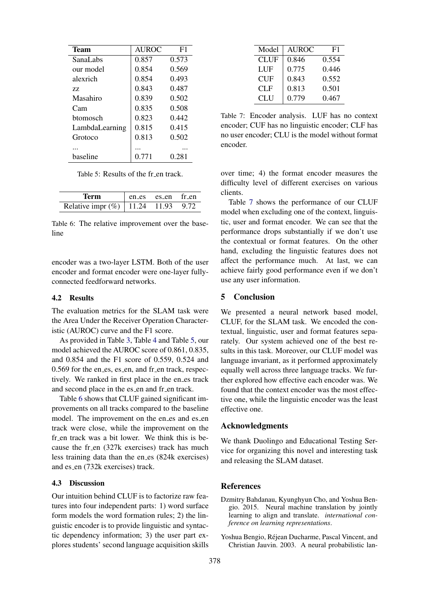| <b>Team</b>     | <b>AUROC</b> | F <sub>1</sub> |
|-----------------|--------------|----------------|
| SanaLabs        | 0.857        | 0.573          |
| our model       | 0.854        | 0.569          |
| alexrich        | 0.854        | 0.493          |
| 77              | 0.843        | 0.487          |
| Masahiro        | 0.839        | 0.502          |
| Cam             | 0.835        | 0.508          |
| <b>htomosch</b> | 0.823        | 0.442          |
| LambdaLearning  | 0.815        | 0.415          |
| Grotoco         | 0.813        | 0.502          |
|                 |              |                |
| haseline        | 0 771        | 0.281          |

Table 5: Results of the fr\_en track.

| Term                               | en es es en fr en |      |
|------------------------------------|-------------------|------|
| Relative impr $(\%)$   11.24 11.93 |                   | 9.72 |

Table 6: The relative improvement over the baseline

encoder was a two-layer LSTM. Both of the user encoder and format encoder were one-layer fullyconnected feedforward networks.

#### 4.2 Results

The evaluation metrics for the SLAM task were the Area Under the Receiver Operation Characteristic (AUROC) curve and the F1 score.

As provided in Table 3, Table 4 and Table 5, our model achieved the AUROC score of 0.861, 0.835, and 0.854 and the F1 score of 0.559, 0.524 and 0.569 for the en\_es, es\_en, and fr\_en track, respectively. We ranked in first place in the en es track and second place in the es\_en and fr\_en track.

Table 6 shows that CLUF gained significant improvements on all tracks compared to the baseline model. The improvement on the en\_es and es\_en track were close, while the improvement on the fr en track was a bit lower. We think this is because the fr\_en (327k exercises) track has much less training data than the en es (824k exercises) and es\_en (732k exercises) track.

### 4.3 Discussion

Our intuition behind CLUF is to factorize raw features into four independent parts: 1) word surface form models the word formation rules; 2) the linguistic encoder is to provide linguistic and syntactic dependency information; 3) the user part explores students' second language acquisition skills

| Model | <b>AUROC</b> | F1    |
|-------|--------------|-------|
| CLUF  | 0.846        | 0.554 |
| LUF   | 0.775        | 0.446 |
| CUF   | 0.843        | 0.552 |
| CLF   | 0.813        | 0.501 |
| CLU   | 0.779        | 0.467 |

Table 7: Encoder analysis. LUF has no context encoder; CUF has no linguistic encoder; CLF has no user encoder; CLU is the model without format encoder.

over time; 4) the format encoder measures the difficulty level of different exercises on various clients.

Table 7 shows the performance of our CLUF model when excluding one of the context, linguistic, user and format encoder. We can see that the performance drops substantially if we don't use the contextual or format features. On the other hand, excluding the linguistic features does not affect the performance much. At last, we can achieve fairly good performance even if we don't use any user information.

### 5 Conclusion

We presented a neural network based model, CLUF, for the SLAM task. We encoded the contextual, linguistic, user and format features separately. Our system achieved one of the best results in this task. Moreover, our CLUF model was language invariant, as it performed approximately equally well across three language tracks. We further explored how effective each encoder was. We found that the context encoder was the most effective one, while the linguistic encoder was the least effective one.

### Acknowledgments

We thank Duolingo and Educational Testing Service for organizing this novel and interesting task and releasing the SLAM dataset.

## References

- Dzmitry Bahdanau, Kyunghyun Cho, and Yoshua Bengio. 2015. Neural machine translation by jointly learning to align and translate. *international conference on learning representations*.
- Yoshua Bengio, Rejean Ducharme, Pascal Vincent, and ´ Christian Jauvin. 2003. A neural probabilistic lan-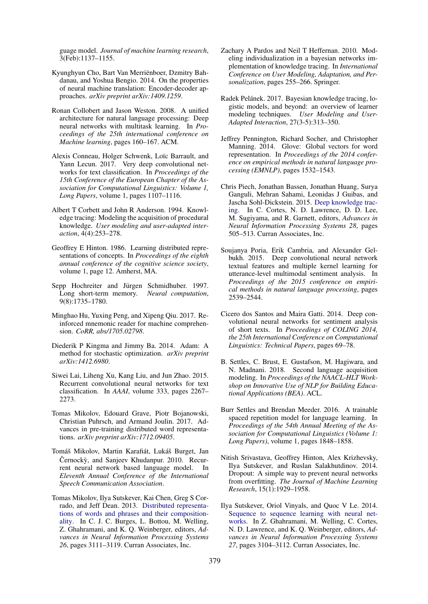guage model. *Journal of machine learning research*, 3(Feb):1137–1155.

- Kyunghyun Cho, Bart Van Merrienboer, Dzmitry Bah- ¨ danau, and Yoshua Bengio. 2014. On the properties of neural machine translation: Encoder-decoder approaches. *arXiv preprint arXiv:1409.1259*.
- Ronan Collobert and Jason Weston. 2008. A unified architecture for natural language processing: Deep neural networks with multitask learning. In *Proceedings of the 25th international conference on Machine learning*, pages 160–167. ACM.
- Alexis Conneau, Holger Schwenk, Loïc Barrault, and Yann Lecun. 2017. Very deep convolutional networks for text classification. In *Proceedings of the 15th Conference of the European Chapter of the Association for Computational Linguistics: Volume 1, Long Papers*, volume 1, pages 1107–1116.
- Albert T Corbett and John R Anderson. 1994. Knowledge tracing: Modeling the acquisition of procedural knowledge. *User modeling and user-adapted interaction*, 4(4):253–278.
- Geoffrey E Hinton. 1986. Learning distributed representations of concepts. In *Proceedings of the eighth annual conference of the cognitive science society*, volume 1, page 12. Amherst, MA.
- Sepp Hochreiter and Jürgen Schmidhuber. 1997. Long short-term memory. *Neural computation*, 9(8):1735–1780.
- Minghao Hu, Yuxing Peng, and Xipeng Qiu. 2017. Reinforced mnemonic reader for machine comprehension. *CoRR, abs/1705.02798*.
- Diederik P Kingma and Jimmy Ba. 2014. Adam: A method for stochastic optimization. *arXiv preprint arXiv:1412.6980*.
- Siwei Lai, Liheng Xu, Kang Liu, and Jun Zhao. 2015. Recurrent convolutional neural networks for text classification. In *AAAI*, volume 333, pages 2267– 2273.
- Tomas Mikolov, Edouard Grave, Piotr Bojanowski, Christian Puhrsch, and Armand Joulin. 2017. Advances in pre-training distributed word representations. *arXiv preprint arXiv:1712.09405*.
- Tomáš Mikolov, Martin Karafiát, Lukáš Burget, Jan Černockỳ, and Sanjeev Khudanpur. 2010. Recurrent neural network based language model. In *Eleventh Annual Conference of the International Speech Communication Association*.
- Tomas Mikolov, Ilya Sutskever, Kai Chen, Greg S Corrado, and Jeff Dean. 2013. Distributed representations of words and phrases and their compositionality. In C. J. C. Burges, L. Bottou, M. Welling, Z. Ghahramani, and K. Q. Weinberger, editors, *Advances in Neural Information Processing Systems 26*, pages 3111–3119. Curran Associates, Inc.
- Zachary A Pardos and Neil T Heffernan. 2010. Modeling individualization in a bayesian networks implementation of knowledge tracing. In *International Conference on User Modeling, Adaptation, and Personalization*, pages 255–266. Springer.
- Radek Pelánek. 2017. Bayesian knowledge tracing, logistic models, and beyond: an overview of learner modeling techniques. *User Modeling and User-Adapted Interaction*, 27(3-5):313–350.
- Jeffrey Pennington, Richard Socher, and Christopher Manning. 2014. Glove: Global vectors for word representation. In *Proceedings of the 2014 conference on empirical methods in natural language processing (EMNLP)*, pages 1532–1543.
- Chris Piech, Jonathan Bassen, Jonathan Huang, Surya Ganguli, Mehran Sahami, Leonidas J Guibas, and Jascha Sohl-Dickstein. 2015. Deep knowledge tracing. In C. Cortes, N. D. Lawrence, D. D. Lee, M. Sugiyama, and R. Garnett, editors, *Advances in Neural Information Processing Systems 28*, pages 505–513. Curran Associates, Inc.
- Soujanya Poria, Erik Cambria, and Alexander Gelbukh. 2015. Deep convolutional neural network textual features and multiple kernel learning for utterance-level multimodal sentiment analysis. In *Proceedings of the 2015 conference on empirical methods in natural language processing*, pages 2539–2544.
- Cicero dos Santos and Maira Gatti. 2014. Deep convolutional neural networks for sentiment analysis of short texts. In *Proceedings of COLING 2014, the 25th International Conference on Computational Linguistics: Technical Papers*, pages 69–78.
- B. Settles, C. Brust, E. Gustafson, M. Hagiwara, and N. Madnani. 2018. Second language acquisition modeling. In *Proceedings of the NAACL-HLT Workshop on Innovative Use of NLP for Building Educational Applications (BEA)*. ACL.
- Burr Settles and Brendan Meeder. 2016. A trainable spaced repetition model for language learning. In *Proceedings of the 54th Annual Meeting of the Association for Computational Linguistics (Volume 1: Long Papers)*, volume 1, pages 1848–1858.
- Nitish Srivastava, Geoffrey Hinton, Alex Krizhevsky, Ilya Sutskever, and Ruslan Salakhutdinov. 2014. Dropout: A simple way to prevent neural networks from overfitting. *The Journal of Machine Learning Research*, 15(1):1929–1958.
- Ilya Sutskever, Oriol Vinyals, and Quoc V Le. 2014. Sequence to sequence learning with neural networks. In Z. Ghahramani, M. Welling, C. Cortes, N. D. Lawrence, and K. Q. Weinberger, editors, *Advances in Neural Information Processing Systems 27*, pages 3104–3112. Curran Associates, Inc.